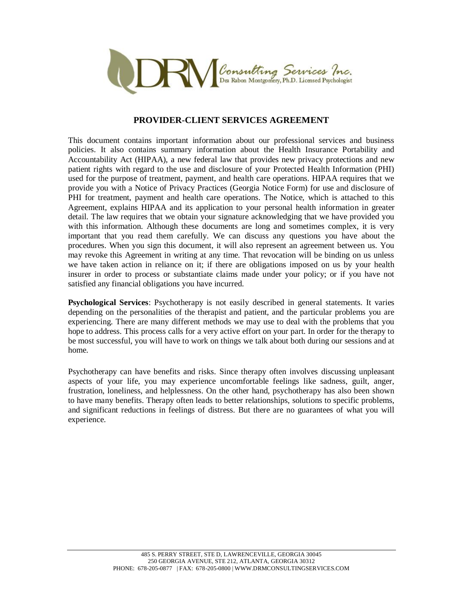

## **PROVIDER-CLIENT SERVICES AGREEMENT**

This document contains important information about our professional services and business policies. It also contains summary information about the Health Insurance Portability and Accountability Act (HIPAA), a new federal law that provides new privacy protections and new patient rights with regard to the use and disclosure of your Protected Health Information (PHI) used for the purpose of treatment, payment, and health care operations. HIPAA requires that we provide you with a Notice of Privacy Practices (Georgia Notice Form) for use and disclosure of PHI for treatment, payment and health care operations. The Notice, which is attached to this Agreement, explains HIPAA and its application to your personal health information in greater detail. The law requires that we obtain your signature acknowledging that we have provided you with this information. Although these documents are long and sometimes complex, it is very important that you read them carefully. We can discuss any questions you have about the procedures. When you sign this document, it will also represent an agreement between us. You may revoke this Agreement in writing at any time. That revocation will be binding on us unless we have taken action in reliance on it; if there are obligations imposed on us by your health insurer in order to process or substantiate claims made under your policy; or if you have not satisfied any financial obligations you have incurred.

**Psychological Services**: Psychotherapy is not easily described in general statements. It varies depending on the personalities of the therapist and patient, and the particular problems you are experiencing. There are many different methods we may use to deal with the problems that you hope to address. This process calls for a very active effort on your part. In order for the therapy to be most successful, you will have to work on things we talk about both during our sessions and at home.

Psychotherapy can have benefits and risks. Since therapy often involves discussing unpleasant aspects of your life, you may experience uncomfortable feelings like sadness, guilt, anger, frustration, loneliness, and helplessness. On the other hand, psychotherapy has also been shown to have many benefits. Therapy often leads to better relationships, solutions to specific problems, and significant reductions in feelings of distress. But there are no guarantees of what you will experience.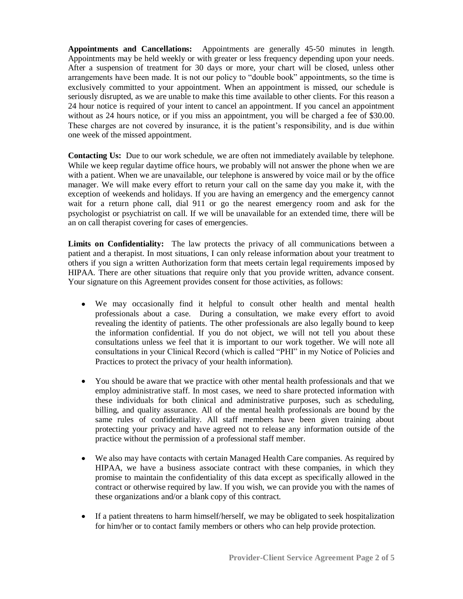**Appointments and Cancellations:** Appointments are generally 45-50 minutes in length. Appointments may be held weekly or with greater or less frequency depending upon your needs. After a suspension of treatment for 30 days or more, your chart will be closed, unless other arrangements have been made. It is not our policy to "double book" appointments, so the time is exclusively committed to your appointment. When an appointment is missed, our schedule is seriously disrupted, as we are unable to make this time available to other clients. For this reason a 24 hour notice is required of your intent to cancel an appointment. If you cancel an appointment without as 24 hours notice, or if you miss an appointment, you will be charged a fee of \$30.00. These charges are not covered by insurance, it is the patient's responsibility, and is due within one week of the missed appointment.

**Contacting Us:** Due to our work schedule, we are often not immediately available by telephone. While we keep regular daytime office hours, we probably will not answer the phone when we are with a patient. When we are unavailable, our telephone is answered by voice mail or by the office manager. We will make every effort to return your call on the same day you make it, with the exception of weekends and holidays. If you are having an emergency and the emergency cannot wait for a return phone call, dial 911 or go the nearest emergency room and ask for the psychologist or psychiatrist on call. If we will be unavailable for an extended time, there will be an on call therapist covering for cases of emergencies*.*

**Limits on Confidentiality:** The law protects the privacy of all communications between a patient and a therapist. In most situations, I can only release information about your treatment to others if you sign a written Authorization form that meets certain legal requirements imposed by HIPAA. There are other situations that require only that you provide written, advance consent. Your signature on this Agreement provides consent for those activities, as follows:

- We may occasionally find it helpful to consult other health and mental health professionals about a case. During a consultation, we make every effort to avoid revealing the identity of patients. The other professionals are also legally bound to keep the information confidential. If you do not object, we will not tell you about these consultations unless we feel that it is important to our work together. We will note all consultations in your Clinical Record (which is called "PHI" in my Notice of Policies and Practices to protect the privacy of your health information).
- You should be aware that we practice with other mental health professionals and that we  $\bullet$ employ administrative staff. In most cases, we need to share protected information with these individuals for both clinical and administrative purposes, such as scheduling, billing, and quality assurance. All of the mental health professionals are bound by the same rules of confidentiality. All staff members have been given training about protecting your privacy and have agreed not to release any information outside of the practice without the permission of a professional staff member.
- We also may have contacts with certain Managed Health Care companies. As required by HIPAA, we have a business associate contract with these companies, in which they promise to maintain the confidentiality of this data except as specifically allowed in the contract or otherwise required by law. If you wish, we can provide you with the names of these organizations and/or a blank copy of this contract.
- If a patient threatens to harm himself/herself, we may be obligated to seek hospitalization for him/her or to contact family members or others who can help provide protection.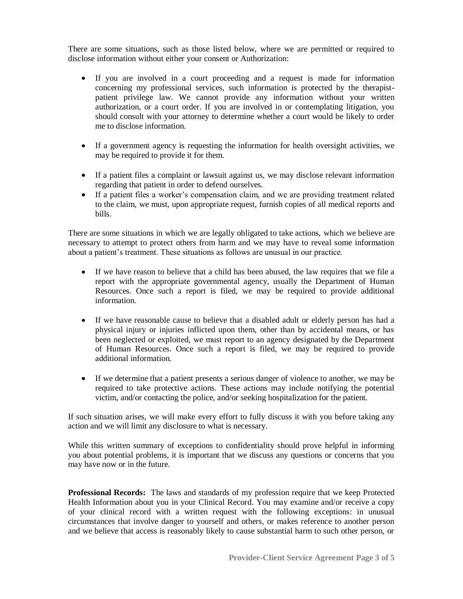There are some situations, such as those listed below, where we are permitted or required to disclose information without either your consent or Authorization:

- If you are involved in a court proceeding and a request is made for information concerning my professional services, such information is protected by the therapistpatient privilege law. We cannot provide any information without your written authorization, or a court order. If you are involved in or contemplating litigation, you should consult with your attorney to determine whether a court would be likely to order me to disclose information.
- If a government agency is requesting the information for health oversight activities, we may be required to provide it for them.
- If a patient files a complaint or lawsuit against us, we may disclose relevant information regarding that patient in order to defend ourselves.
- If a patient files a worker's compensation claim, and we are providing treatment related to the claim, we must, upon appropriate request, furnish copies of all medical reports and bills.

There are some situations in which we are legally obligated to take actions, which we believe are necessary to attempt to protect others from harm and we may have to reveal some information about a patient's treatment. These situations as follows are unusual in our practice.

- If we have reason to believe that a child has been abused, the law requires that we file a report with the appropriate governmental agency, usually the Department of Human Resources. Once such a report is filed, we may be required to provide additional information.
- If we have reasonable cause to believe that a disabled adult or elderly person has had a physical injury or injuries inflicted upon them, other than by accidental means, or has been neglected or exploited, we must report to an agency designated by the Department of Human Resources. Once such a report is filed, we may be required to provide additional information.
- If we determine that a patient presents a serious danger of violence to another, we may be required to take protective actions. These actions may include notifying the potential victim, and/or contacting the police, and/or seeking hospitalization for the patient.

If such situation arises, we will make every effort to fully discuss it with you before taking any action and we will limit any disclosure to what is necessary.

While this written summary of exceptions to confidentiality should prove helpful in informing you about potential problems, it is important that we discuss any questions or concerns that you may have now or in the future.

**Professional Records:** The laws and standards of my profession require that we keep Protected Health Information about you in your Clinical Record. You may examine and/or receive a copy of your clinical record with a written request with the following exceptions: in unusual circumstances that involve danger to yourself and others, or makes reference to another person and we believe that access is reasonably likely to cause substantial harm to such other person, or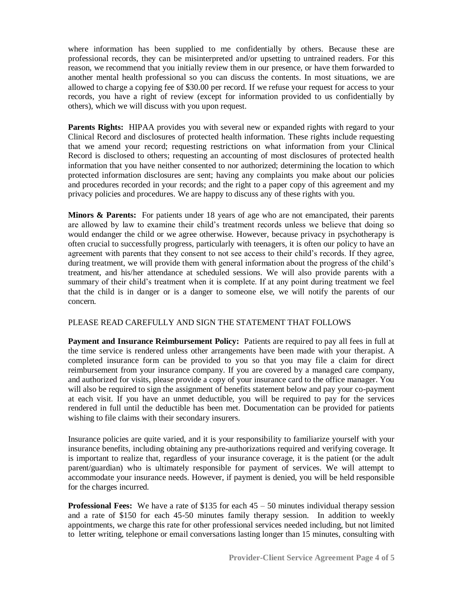where information has been supplied to me confidentially by others. Because these are professional records, they can be misinterpreted and/or upsetting to untrained readers. For this reason, we recommend that you initially review them in our presence, or have them forwarded to another mental health professional so you can discuss the contents. In most situations, we are allowed to charge a copying fee of \$30.00 per record. If we refuse your request for access to your records, you have a right of review (except for information provided to us confidentially by others), which we will discuss with you upon request.

**Parents Rights:** HIPAA provides you with several new or expanded rights with regard to your Clinical Record and disclosures of protected health information. These rights include requesting that we amend your record; requesting restrictions on what information from your Clinical Record is disclosed to others; requesting an accounting of most disclosures of protected health information that you have neither consented to nor authorized; determining the location to which protected information disclosures are sent; having any complaints you make about our policies and procedures recorded in your records; and the right to a paper copy of this agreement and my privacy policies and procedures. We are happy to discuss any of these rights with you.

**Minors & Parents:** For patients under 18 years of age who are not emancipated, their parents are allowed by law to examine their child's treatment records unless we believe that doing so would endanger the child or we agree otherwise. However, because privacy in psychotherapy is often crucial to successfully progress, particularly with teenagers, it is often our policy to have an agreement with parents that they consent to not see access to their child's records. If they agree, during treatment, we will provide them with general information about the progress of the child's treatment, and his/her attendance at scheduled sessions. We will also provide parents with a summary of their child's treatment when it is complete. If at any point during treatment we feel that the child is in danger or is a danger to someone else, we will notify the parents of our concern*.*

## PLEASE READ CAREFULLY AND SIGN THE STATEMENT THAT FOLLOWS

**Payment and Insurance Reimbursement Policy:** Patients are required to pay all fees in full at the time service is rendered unless other arrangements have been made with your therapist. A completed insurance form can be provided to you so that you may file a claim for direct reimbursement from your insurance company. If you are covered by a managed care company, and authorized for visits, please provide a copy of your insurance card to the office manager. You will also be required to sign the assignment of benefits statement below and pay your co-payment at each visit. If you have an unmet deductible, you will be required to pay for the services rendered in full until the deductible has been met. Documentation can be provided for patients wishing to file claims with their secondary insurers.

Insurance policies are quite varied, and it is your responsibility to familiarize yourself with your insurance benefits, including obtaining any pre-authorizations required and verifying coverage. It is important to realize that, regardless of your insurance coverage, it is the patient (or the adult parent/guardian) who is ultimately responsible for payment of services. We will attempt to accommodate your insurance needs. However, if payment is denied, you will be held responsible for the charges incurred.

**Professional Fees:** We have a rate of \$135 for each  $45 - 50$  minutes individual therapy session and a rate of \$150 for each 45-50 minutes family therapy session. In addition to weekly appointments, we charge this rate for other professional services needed including, but not limited to letter writing, telephone or email conversations lasting longer than 15 minutes, consulting with